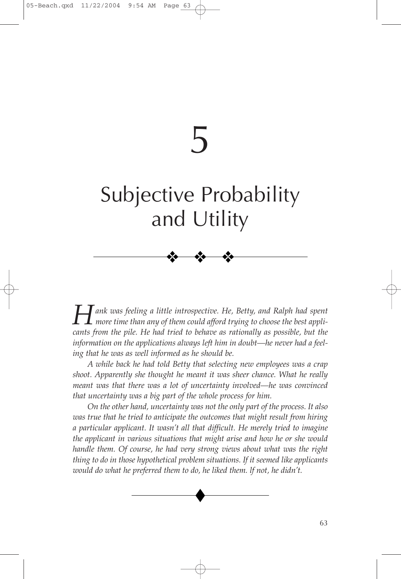# 5

# Subjective Probability and Utility

❖ ❖ ❖

*Hank was feeling a little introspective. He, Betty, and Ralph had spent more time than any of them could afford trying to choose the best applicants from the pile. He had tried to behave as rationally as possible, but the information on the applications always left him in doubt—he never had a feeling that he was as well informed as he should be.*

*A while back he had told Betty that selecting new employees was a crap shoot. Apparently she thought he meant it was sheer chance. What he really meant was that there was a lot of uncertainty involved—he was convinced that uncertainty was a big part of the whole process for him.*

*On the other hand, uncertainty was not the only part of the process. It also was true that he tried to anticipate the outcomes that might result from hiring a particular applicant. It wasn't all that difficult. He merely tried to imagine the applicant in various situations that might arise and how he or she would handle them. Of course, he had very strong views about what was the right thing to do in those hypothetical problem situations. If it seemed like applicants would do what he preferred them to do, he liked them. lf not, he didn't.*

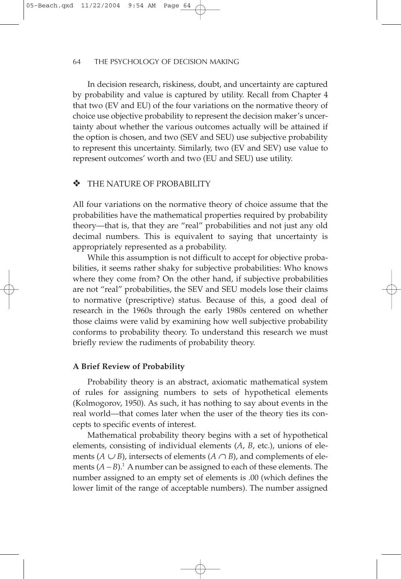In decision research, riskiness, doubt, and uncertainty are captured by probability and value is captured by utility. Recall from Chapter 4 that two (EV and EU) of the four variations on the normative theory of choice use objective probability to represent the decision maker's uncertainty about whether the various outcomes actually will be attained if the option is chosen, and two (SEV and SEU) use subjective probability to represent this uncertainty. Similarly, two (EV and SEV) use value to represent outcomes' worth and two (EU and SEU) use utility.

# THE NATURE OF PROBABILITY

All four variations on the normative theory of choice assume that the probabilities have the mathematical properties required by probability theory—that is, that they are "real" probabilities and not just any old decimal numbers. This is equivalent to saying that uncertainty is appropriately represented as a probability.

While this assumption is not difficult to accept for objective probabilities, it seems rather shaky for subjective probabilities: Who knows where they come from? On the other hand, if subjective probabilities are not "real" probabilities, the SEV and SEU models lose their claims to normative (prescriptive) status. Because of this, a good deal of research in the 1960s through the early 1980s centered on whether those claims were valid by examining how well subjective probability conforms to probability theory. To understand this research we must briefly review the rudiments of probability theory.

#### **A Brief Review of Probability**

Probability theory is an abstract, axiomatic mathematical system of rules for assigning numbers to sets of hypothetical elements (Kolmogorov, 1950). As such, it has nothing to say about events in the real world—that comes later when the user of the theory ties its concepts to specific events of interest.

Mathematical probability theory begins with a set of hypothetical elements, consisting of individual elements (*A*, *B*, etc.), unions of elements  $(A \cup B)$ , intersects of elements  $(A \cap B)$ , and complements of elements  $(A - B)^{1}$ . A number can be assigned to each of these elements. The number assigned to an empty set of elements is .00 (which defines the lower limit of the range of acceptable numbers). The number assigned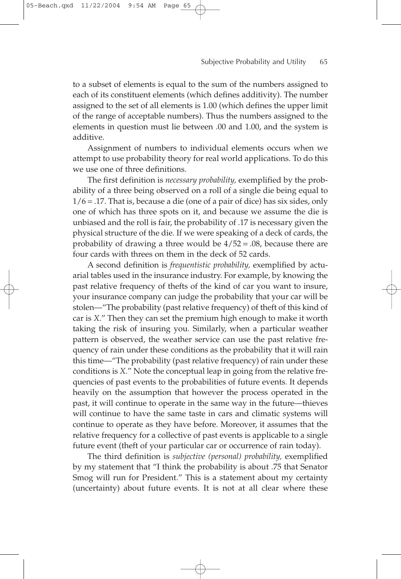to a subset of elements is equal to the sum of the numbers assigned to each of its constituent elements (which defines additivity). The number assigned to the set of all elements is 1.00 (which defines the upper limit of the range of acceptable numbers). Thus the numbers assigned to the elements in question must lie between .00 and 1.00, and the system is additive.

Assignment of numbers to individual elements occurs when we attempt to use probability theory for real world applications. To do this we use one of three definitions.

The first definition is *necessary probability,* exemplified by the probability of a three being observed on a roll of a single die being equal to  $1/6 = .17$ . That is, because a die (one of a pair of dice) has six sides, only one of which has three spots on it, and because we assume the die is unbiased and the roll is fair, the probability of .17 is necessary given the physical structure of the die. If we were speaking of a deck of cards, the probability of drawing a three would be  $4/52 = .08$ , because there are four cards with threes on them in the deck of 52 cards.

A second definition is *frequentistic probability,* exemplified by actuarial tables used in the insurance industry. For example, by knowing the past relative frequency of thefts of the kind of car you want to insure, your insurance company can judge the probability that your car will be stolen—"The probability (past relative frequency) of theft of this kind of car is *X*." Then they can set the premium high enough to make it worth taking the risk of insuring you. Similarly, when a particular weather pattern is observed, the weather service can use the past relative frequency of rain under these conditions as the probability that it will rain this time—"The probability (past relative frequency) of rain under these conditions is *X*." Note the conceptual leap in going from the relative frequencies of past events to the probabilities of future events. It depends heavily on the assumption that however the process operated in the past, it will continue to operate in the same way in the future—thieves will continue to have the same taste in cars and climatic systems will continue to operate as they have before. Moreover, it assumes that the relative frequency for a collective of past events is applicable to a single future event (theft of your particular car or occurrence of rain today).

The third definition is *subjective (personal) probability,* exemplified by my statement that "I think the probability is about .75 that Senator Smog will run for President." This is a statement about my certainty (uncertainty) about future events. It is not at all clear where these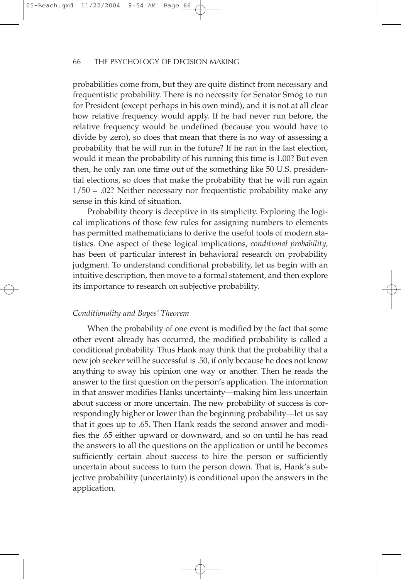probabilities come from, but they are quite distinct from necessary and frequentistic probability. There is no necessity for Senator Smog to run for President (except perhaps in his own mind), and it is not at all clear how relative frequency would apply. If he had never run before, the relative frequency would be undefined (because you would have to divide by zero), so does that mean that there is no way of assessing a probability that he will run in the future? If he ran in the last election, would it mean the probability of his running this time is 1.00? But even then, he only ran one time out of the something like 50 U.S. presidential elections, so does that make the probability that he will run again  $1/50 = .02$ ? Neither necessary nor frequentistic probability make any sense in this kind of situation.

Probability theory is deceptive in its simplicity. Exploring the logical implications of those few rules for assigning numbers to elements has permitted mathematicians to derive the useful tools of modern statistics. One aspect of these logical implications, *conditional probability,* has been of particular interest in behavioral research on probability judgment. To understand conditional probability, let us begin with an intuitive description, then move to a formal statement, and then explore its importance to research on subjective probability.

# *Conditionality and Bayes' Theorem*

When the probability of one event is modified by the fact that some other event already has occurred, the modified probability is called a conditional probability. Thus Hank may think that the probability that a new job seeker will be successful is .50, if only because he does not know anything to sway his opinion one way or another. Then he reads the answer to the first question on the person's application. The information in that answer modifies Hanks uncertainty—making him less uncertain about success or more uncertain. The new probability of success is correspondingly higher or lower than the beginning probability—let us say that it goes up to .65. Then Hank reads the second answer and modifies the .65 either upward or downward, and so on until he has read the answers to all the questions on the application or until he becomes sufficiently certain about success to hire the person or sufficiently uncertain about success to turn the person down. That is, Hank's subjective probability (uncertainty) is conditional upon the answers in the application.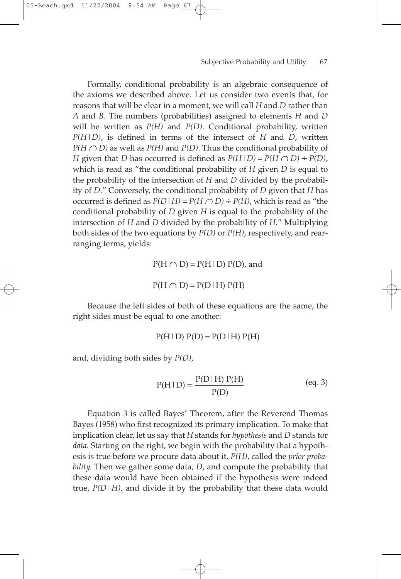Formally, conditional probability is an algebraic consequence of the axioms we described above. Let us consider two events that, for reasons that will be clear in a moment, we will call *H* and *D* rather than *A* and *B*. The numbers (probabilities) assigned to elements *H* and *D* will be written as *P(H)* and *P(D)*. Conditional probability, written *P(H|D)*, is defined in terms of the intersect of *H* and *D*, written  $P(H \cap D)$  as well as  $P(H)$  and  $P(D)$ . Thus the conditional probability of *H* given that *D* has occurred is defined as  $P(H|D) = P(H \cap D) \div P(D)$ , which is read as "the conditional probability of *H* given *D* is equal to the probability of the intersection of *H* and *D* divided by the probability of *D*." Conversely, the conditional probability of *D* given that *H* has occurred is defined as  $P(D|H) = P(H \cap D) \div P(H)$ , which is read as "the conditional probability of *D* given *H* is equal to the probability of the intersection of *H* and *D* divided by the probability of *H*." Multiplying both sides of the two equations by *P(D)* or *P(H)*, respectively, and rearranging terms, yields:

> $P(H \cap D) = P(H | D) P(D)$ , and  $P(H \cap D) = P(D|H) P(H)$

Because the left sides of both of these equations are the same, the right sides must be equal to one another:

 $P(H|D) P(D) = P(D|H) P(H)$ 

and, dividing both sides by *P(D)*,

05-Beach.qxd 11/22/2004 9:54 AM

$$
P(H | D) = \frac{P(D | H) P(H)}{P(D)}
$$
 (eq. 3)

Equation 3 is called Bayes' Theorem, after the Reverend Thomas Bayes (1958) who first recognized its primary implication. To make that implication clear, let us say that *H* stands for *hypothesis* and *D* stands for *data.* Starting on the right, we begin with the probability that a hypothesis is true before we procure data about it, *P(H)*, called the *prior probability.* Then we gather some data, *D*, and compute the probability that these data would have been obtained if the hypothesis were indeed true,  $P(D|H)$ , and divide it by the probability that these data would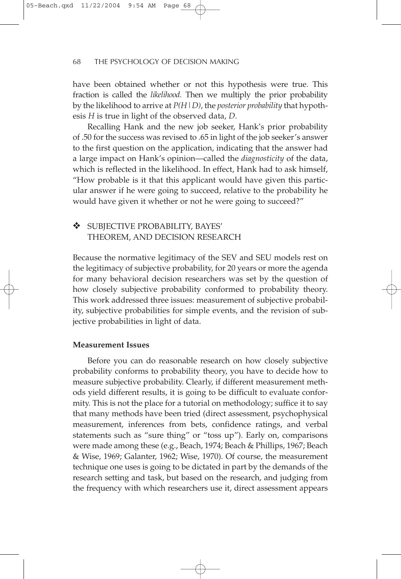have been obtained whether or not this hypothesis were true. This fraction is called the *likelihood.* Then we multiply the prior probability by the likelihood to arrive at *P(H|D)*, the *posterior probability* that hypothesis *H* is true in light of the observed data, *D*.

Recalling Hank and the new job seeker, Hank's prior probability of .50 for the success was revised to .65 in light of the job seeker's answer to the first question on the application, indicating that the answer had a large impact on Hank's opinion—called the *diagnosticity* of the data, which is reflected in the likelihood. In effect, Hank had to ask himself, "How probable is it that this applicant would have given this particular answer if he were going to succeed, relative to the probability he would have given it whether or not he were going to succeed?"

# ❖ SUBJECTIVE PROBABILITY, BAYES' THEOREM, AND DECISION RESEARCH

Because the normative legitimacy of the SEV and SEU models rest on the legitimacy of subjective probability, for 20 years or more the agenda for many behavioral decision researchers was set by the question of how closely subjective probability conformed to probability theory. This work addressed three issues: measurement of subjective probability, subjective probabilities for simple events, and the revision of subjective probabilities in light of data.

#### **Measurement Issues**

Before you can do reasonable research on how closely subjective probability conforms to probability theory, you have to decide how to measure subjective probability. Clearly, if different measurement methods yield different results, it is going to be difficult to evaluate conformity. This is not the place for a tutorial on methodology; suffice it to say that many methods have been tried (direct assessment, psychophysical measurement, inferences from bets, confidence ratings, and verbal statements such as "sure thing" or "toss up"). Early on, comparisons were made among these (e.g., Beach, 1974; Beach & Phillips, 1967; Beach & Wise, 1969; Galanter, 1962; Wise, 1970). Of course, the measurement technique one uses is going to be dictated in part by the demands of the research setting and task, but based on the research, and judging from the frequency with which researchers use it, direct assessment appears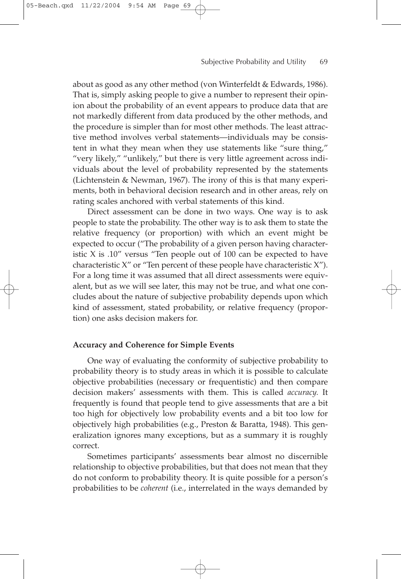about as good as any other method (von Winterfeldt & Edwards, 1986). That is, simply asking people to give a number to represent their opinion about the probability of an event appears to produce data that are not markedly different from data produced by the other methods, and the procedure is simpler than for most other methods. The least attractive method involves verbal statements—individuals may be consistent in what they mean when they use statements like "sure thing," "very likely," "unlikely," but there is very little agreement across individuals about the level of probability represented by the statements (Lichtenstein & Newman, 1967). The irony of this is that many experiments, both in behavioral decision research and in other areas, rely on rating scales anchored with verbal statements of this kind.

Direct assessment can be done in two ways. One way is to ask people to state the probability. The other way is to ask them to state the relative frequency (or proportion) with which an event might be expected to occur ("The probability of a given person having characteristic  $X$  is .10" versus "Ten people out of 100 can be expected to have characteristic X" or "Ten percent of these people have characteristic X"). For a long time it was assumed that all direct assessments were equivalent, but as we will see later, this may not be true, and what one concludes about the nature of subjective probability depends upon which kind of assessment, stated probability, or relative frequency (proportion) one asks decision makers for.

#### **Accuracy and Coherence for Simple Events**

One way of evaluating the conformity of subjective probability to probability theory is to study areas in which it is possible to calculate objective probabilities (necessary or frequentistic) and then compare decision makers' assessments with them. This is called *accuracy.* It frequently is found that people tend to give assessments that are a bit too high for objectively low probability events and a bit too low for objectively high probabilities (e.g., Preston & Baratta, 1948). This generalization ignores many exceptions, but as a summary it is roughly correct.

Sometimes participants' assessments bear almost no discernible relationship to objective probabilities, but that does not mean that they do not conform to probability theory. It is quite possible for a person's probabilities to be *coherent* (i.e., interrelated in the ways demanded by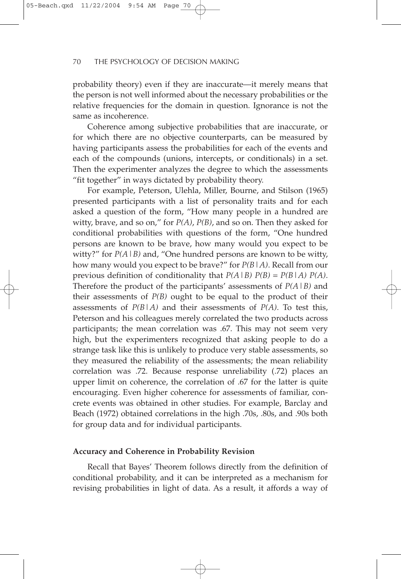probability theory) even if they are inaccurate—it merely means that the person is not well informed about the necessary probabilities or the relative frequencies for the domain in question. Ignorance is not the same as incoherence.

Coherence among subjective probabilities that are inaccurate, or for which there are no objective counterparts, can be measured by having participants assess the probabilities for each of the events and each of the compounds (unions, intercepts, or conditionals) in a set. Then the experimenter analyzes the degree to which the assessments "fit together" in ways dictated by probability theory.

For example, Peterson, Ulehla, Miller, Bourne, and Stilson (1965) presented participants with a list of personality traits and for each asked a question of the form, "How many people in a hundred are witty, brave, and so on," for *P(A)*, *P(B)*, and so on. Then they asked for conditional probabilities with questions of the form, "One hundred persons are known to be brave, how many would you expect to be witty?" for  $P(A|B)$  and, "One hundred persons are known to be witty, how many would you expect to be brave?" for *P(B|A)*. Recall from our previous definition of conditionality that *P(A|B) P(B)* = *P(B|A) P(A)*. Therefore the product of the participants' assessments of *P(A|B)* and their assessments of *P(B)* ought to be equal to the product of their assessments of  $P(B|A)$  and their assessments of  $P(A)$ . To test this, Peterson and his colleagues merely correlated the two products across participants; the mean correlation was .67. This may not seem very high, but the experimenters recognized that asking people to do a strange task like this is unlikely to produce very stable assessments, so they measured the reliability of the assessments; the mean reliability correlation was .72. Because response unreliability (.72) places an upper limit on coherence, the correlation of .67 for the latter is quite encouraging. Even higher coherence for assessments of familiar, concrete events was obtained in other studies. For example, Barclay and Beach (1972) obtained correlations in the high .70s, .80s, and .90s both for group data and for individual participants.

#### **Accuracy and Coherence in Probability Revision**

Recall that Bayes' Theorem follows directly from the definition of conditional probability, and it can be interpreted as a mechanism for revising probabilities in light of data. As a result, it affords a way of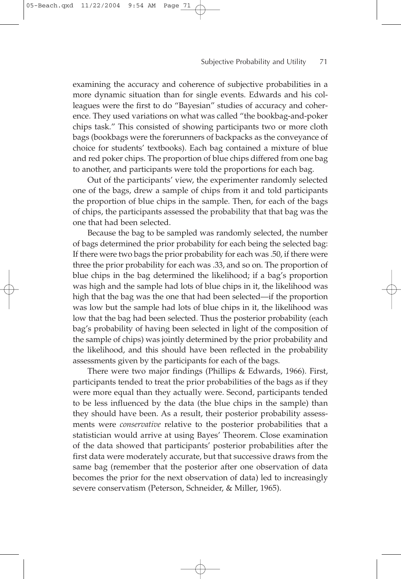examining the accuracy and coherence of subjective probabilities in a more dynamic situation than for single events. Edwards and his colleagues were the first to do "Bayesian" studies of accuracy and coherence. They used variations on what was called "the bookbag-and-poker chips task." This consisted of showing participants two or more cloth bags (bookbags were the forerunners of backpacks as the conveyance of choice for students' textbooks). Each bag contained a mixture of blue and red poker chips. The proportion of blue chips differed from one bag to another, and participants were told the proportions for each bag.

Out of the participants' view, the experimenter randomly selected one of the bags, drew a sample of chips from it and told participants the proportion of blue chips in the sample. Then, for each of the bags of chips, the participants assessed the probability that that bag was the one that had been selected.

Because the bag to be sampled was randomly selected, the number of bags determined the prior probability for each being the selected bag: If there were two bags the prior probability for each was .50, if there were three the prior probability for each was .33, and so on. The proportion of blue chips in the bag determined the likelihood; if a bag's proportion was high and the sample had lots of blue chips in it, the likelihood was high that the bag was the one that had been selected—if the proportion was low but the sample had lots of blue chips in it, the likelihood was low that the bag had been selected. Thus the posterior probability (each bag's probability of having been selected in light of the composition of the sample of chips) was jointly determined by the prior probability and the likelihood, and this should have been reflected in the probability assessments given by the participants for each of the bags.

There were two major findings (Phillips & Edwards, 1966). First, participants tended to treat the prior probabilities of the bags as if they were more equal than they actually were. Second, participants tended to be less influenced by the data (the blue chips in the sample) than they should have been. As a result, their posterior probability assessments were *conservative* relative to the posterior probabilities that a statistician would arrive at using Bayes' Theorem. Close examination of the data showed that participants' posterior probabilities after the first data were moderately accurate, but that successive draws from the same bag (remember that the posterior after one observation of data becomes the prior for the next observation of data) led to increasingly severe conservatism (Peterson, Schneider, & Miller, 1965).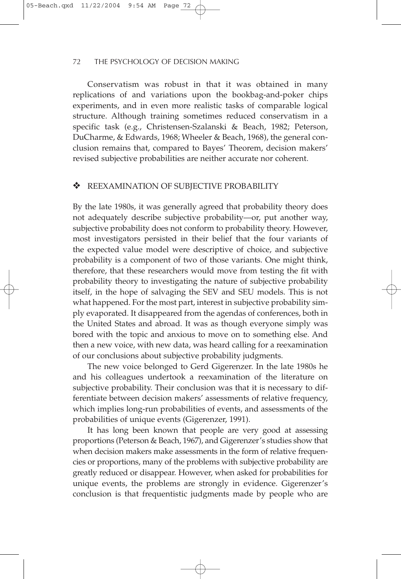Conservatism was robust in that it was obtained in many replications of and variations upon the bookbag-and-poker chips experiments, and in even more realistic tasks of comparable logical structure. Although training sometimes reduced conservatism in a specific task (e.g., Christensen-Szalanski & Beach, 1982; Peterson, DuCharme, & Edwards, 1968; Wheeler & Beach, 1968), the general conclusion remains that, compared to Bayes' Theorem, decision makers' revised subjective probabilities are neither accurate nor coherent.

# ❖ REEXAMINATION OF SUBJECTIVE PROBABILITY

By the late 1980s, it was generally agreed that probability theory does not adequately describe subjective probability—or, put another way, subjective probability does not conform to probability theory. However, most investigators persisted in their belief that the four variants of the expected value model were descriptive of choice, and subjective probability is a component of two of those variants. One might think, therefore, that these researchers would move from testing the fit with probability theory to investigating the nature of subjective probability itself, in the hope of salvaging the SEV and SEU models. This is not what happened. For the most part, interest in subjective probability simply evaporated. It disappeared from the agendas of conferences, both in the United States and abroad. It was as though everyone simply was bored with the topic and anxious to move on to something else. And then a new voice, with new data, was heard calling for a reexamination of our conclusions about subjective probability judgments.

The new voice belonged to Gerd Gigerenzer. In the late 1980s he and his colleagues undertook a reexamination of the literature on subjective probability. Their conclusion was that it is necessary to differentiate between decision makers' assessments of relative frequency, which implies long-run probabilities of events, and assessments of the probabilities of unique events (Gigerenzer, 1991).

It has long been known that people are very good at assessing proportions (Peterson & Beach, 1967), and Gigerenzer's studies show that when decision makers make assessments in the form of relative frequencies or proportions, many of the problems with subjective probability are greatly reduced or disappear. However, when asked for probabilities for unique events, the problems are strongly in evidence. Gigerenzer's conclusion is that frequentistic judgments made by people who are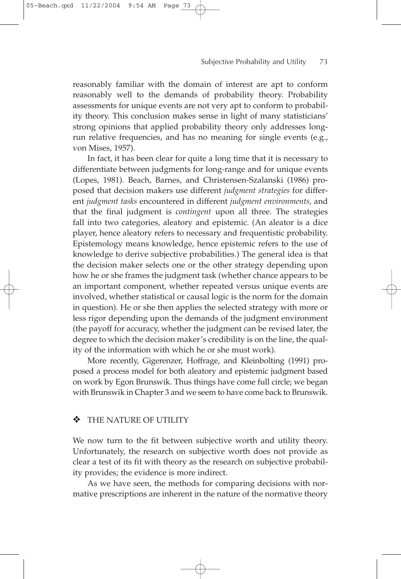reasonably familiar with the domain of interest are apt to conform reasonably well to the demands of probability theory. Probability assessments for unique events are not very apt to conform to probability theory. This conclusion makes sense in light of many statisticians' strong opinions that applied probability theory only addresses longrun relative frequencies, and has no meaning for single events (e.g., von Mises, 1957).

In fact, it has been clear for quite a long time that it is necessary to differentiate between judgments for long-range and for unique events (Lopes, 1981). Beach, Barnes, and Christensen-Szalanski (1986) proposed that decision makers use different *judgment strategies* for different *judgment tasks* encountered in different *judgment environments,* and that the final judgment is *contingent* upon all three. The strategies fall into two categories, aleatory and epistemic. (An aleator is a dice player, hence aleatory refers to necessary and frequentistic probability. Epistemology means knowledge, hence epistemic refers to the use of knowledge to derive subjective probabilities.) The general idea is that the decision maker selects one or the other strategy depending upon how he or she frames the judgment task (whether chance appears to be an important component, whether repeated versus unique events are involved, whether statistical or causal logic is the norm for the domain in question). He or she then applies the selected strategy with more or less rigor depending upon the demands of the judgment environment (the payoff for accuracy, whether the judgment can be revised later, the degree to which the decision maker's credibility is on the line, the quality of the information with which he or she must work).

More recently, Gigerenzer, Hoffrage, and Kleinbolting (1991) proposed a process model for both aleatory and epistemic judgment based on work by Egon Brunswik. Thus things have come full circle; we began with Brunswik in Chapter 3 and we seem to have come back to Brunswik.

# THE NATURE OF UTILITY

We now turn to the fit between subjective worth and utility theory. Unfortunately, the research on subjective worth does not provide as clear a test of its fit with theory as the research on subjective probability provides; the evidence is more indirect.

As we have seen, the methods for comparing decisions with normative prescriptions are inherent in the nature of the normative theory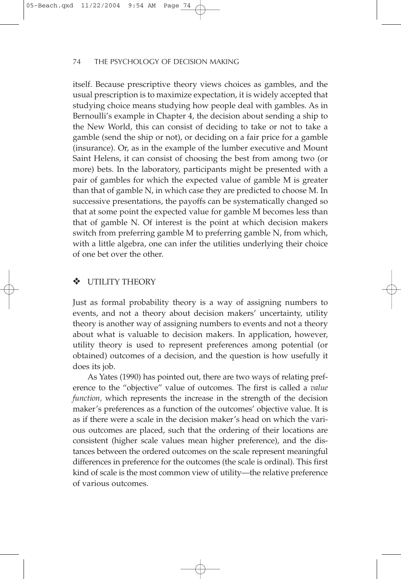itself. Because prescriptive theory views choices as gambles, and the usual prescription is to maximize expectation, it is widely accepted that studying choice means studying how people deal with gambles. As in Bernoulli's example in Chapter 4, the decision about sending a ship to the New World, this can consist of deciding to take or not to take a gamble (send the ship or not), or deciding on a fair price for a gamble (insurance). Or, as in the example of the lumber executive and Mount Saint Helens, it can consist of choosing the best from among two (or more) bets. In the laboratory, participants might be presented with a pair of gambles for which the expected value of gamble M is greater than that of gamble N, in which case they are predicted to choose M. In successive presentations, the payoffs can be systematically changed so that at some point the expected value for gamble M becomes less than that of gamble N. Of interest is the point at which decision makers switch from preferring gamble M to preferring gamble N, from which, with a little algebra, one can infer the utilities underlying their choice of one bet over the other.

# ❖ UTILITY THEORY

Just as formal probability theory is a way of assigning numbers to events, and not a theory about decision makers' uncertainty, utility theory is another way of assigning numbers to events and not a theory about what is valuable to decision makers. In application, however, utility theory is used to represent preferences among potential (or obtained) outcomes of a decision, and the question is how usefully it does its job.

As Yates (1990) has pointed out, there are two ways of relating preference to the "objective" value of outcomes. The first is called a *value function,* which represents the increase in the strength of the decision maker's preferences as a function of the outcomes' objective value. It is as if there were a scale in the decision maker's head on which the various outcomes are placed, such that the ordering of their locations are consistent (higher scale values mean higher preference), and the distances between the ordered outcomes on the scale represent meaningful differences in preference for the outcomes (the scale is ordinal). This first kind of scale is the most common view of utility—the relative preference of various outcomes.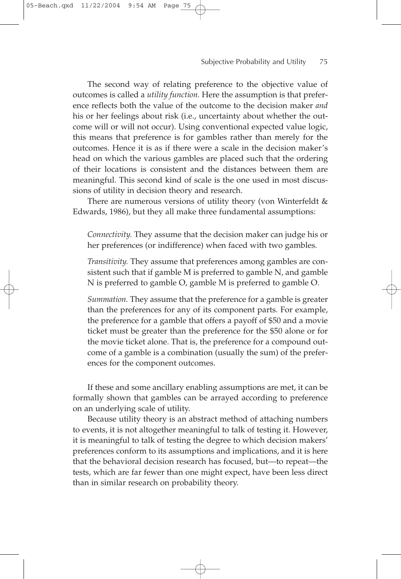The second way of relating preference to the objective value of outcomes is called a *utility function.* Here the assumption is that preference reflects both the value of the outcome to the decision maker *and* his or her feelings about risk (i.e., uncertainty about whether the outcome will or will not occur). Using conventional expected value logic, this means that preference is for gambles rather than merely for the outcomes. Hence it is as if there were a scale in the decision maker's head on which the various gambles are placed such that the ordering of their locations is consistent and the distances between them are meaningful. This second kind of scale is the one used in most discussions of utility in decision theory and research.

There are numerous versions of utility theory (von Winterfeldt  $\&$ Edwards, 1986), but they all make three fundamental assumptions:

*Connectivity.* They assume that the decision maker can judge his or her preferences (or indifference) when faced with two gambles.

*Transitivity.* They assume that preferences among gambles are consistent such that if gamble M is preferred to gamble N, and gamble N is preferred to gamble O, gamble M is preferred to gamble O.

*Summation.* They assume that the preference for a gamble is greater than the preferences for any of its component parts. For example, the preference for a gamble that offers a payoff of \$50 and a movie ticket must be greater than the preference for the \$50 alone or for the movie ticket alone. That is, the preference for a compound outcome of a gamble is a combination (usually the sum) of the preferences for the component outcomes.

If these and some ancillary enabling assumptions are met, it can be formally shown that gambles can be arrayed according to preference on an underlying scale of utility.

Because utility theory is an abstract method of attaching numbers to events, it is not altogether meaningful to talk of testing it. However, it is meaningful to talk of testing the degree to which decision makers' preferences conform to its assumptions and implications, and it is here that the behavioral decision research has focused, but—to repeat—the tests, which are far fewer than one might expect, have been less direct than in similar research on probability theory.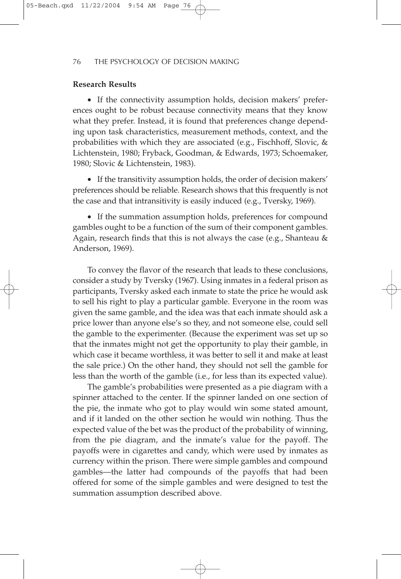# **Research Results**

• If the connectivity assumption holds, decision makers' preferences ought to be robust because connectivity means that they know what they prefer. Instead, it is found that preferences change depending upon task characteristics, measurement methods, context, and the probabilities with which they are associated (e.g., Fischhoff, Slovic, & Lichtenstein, 1980; Fryback, Goodman, & Edwards, 1973; Schoemaker, 1980; Slovic & Lichtenstein, 1983).

• If the transitivity assumption holds, the order of decision makers' preferences should be reliable. Research shows that this frequently is not the case and that intransitivity is easily induced (e.g., Tversky, 1969).

• If the summation assumption holds, preferences for compound gambles ought to be a function of the sum of their component gambles. Again, research finds that this is not always the case (e.g., Shanteau & Anderson, 1969).

To convey the flavor of the research that leads to these conclusions, consider a study by Tversky (1967). Using inmates in a federal prison as participants, Tversky asked each inmate to state the price he would ask to sell his right to play a particular gamble. Everyone in the room was given the same gamble, and the idea was that each inmate should ask a price lower than anyone else's so they, and not someone else, could sell the gamble to the experimenter. (Because the experiment was set up so that the inmates might not get the opportunity to play their gamble, in which case it became worthless, it was better to sell it and make at least the sale price.) On the other hand, they should not sell the gamble for less than the worth of the gamble (i.e., for less than its expected value).

The gamble's probabilities were presented as a pie diagram with a spinner attached to the center. If the spinner landed on one section of the pie, the inmate who got to play would win some stated amount, and if it landed on the other section he would win nothing. Thus the expected value of the bet was the product of the probability of winning, from the pie diagram, and the inmate's value for the payoff. The payoffs were in cigarettes and candy, which were used by inmates as currency within the prison. There were simple gambles and compound gambles—the latter had compounds of the payoffs that had been offered for some of the simple gambles and were designed to test the summation assumption described above.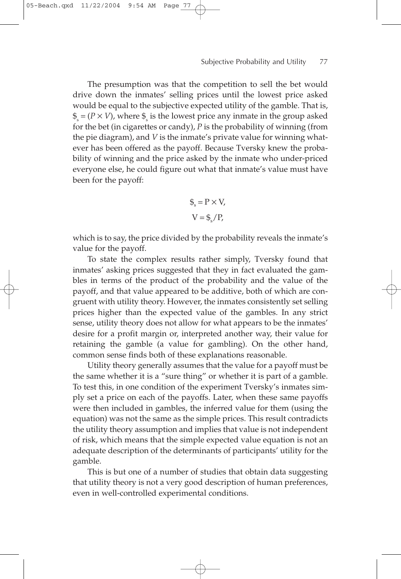The presumption was that the competition to sell the bet would drive down the inmates' selling prices until the lowest price asked would be equal to the subjective expected utility of the gamble. That is,  $\hat{\boldsymbol{\xi}} = (P \times V)$ , where  $\hat{\boldsymbol{\xi}}$  is the lowest price any inmate in the group asked for the bet (in cigarettes or candy), *P* is the probability of winning (from the pie diagram), and *V* is the inmate's private value for winning whatever has been offered as the payoff. Because Tversky knew the probability of winning and the price asked by the inmate who under-priced everyone else, he could figure out what that inmate's value must have been for the payoff:

05-Beach.qxd 11/22/2004 9:54 AM

$$
\mathcal{L}_s = P \times V,
$$
  

$$
V = \mathcal{L}_s / P,
$$

which is to say, the price divided by the probability reveals the inmate's value for the payoff.

To state the complex results rather simply, Tversky found that inmates' asking prices suggested that they in fact evaluated the gambles in terms of the product of the probability and the value of the payoff, and that value appeared to be additive, both of which are congruent with utility theory. However, the inmates consistently set selling prices higher than the expected value of the gambles. In any strict sense, utility theory does not allow for what appears to be the inmates' desire for a profit margin or, interpreted another way, their value for retaining the gamble (a value for gambling). On the other hand, common sense finds both of these explanations reasonable.

Utility theory generally assumes that the value for a payoff must be the same whether it is a "sure thing" or whether it is part of a gamble. To test this, in one condition of the experiment Tversky's inmates simply set a price on each of the payoffs. Later, when these same payoffs were then included in gambles, the inferred value for them (using the equation) was not the same as the simple prices. This result contradicts the utility theory assumption and implies that value is not independent of risk, which means that the simple expected value equation is not an adequate description of the determinants of participants' utility for the gamble.

This is but one of a number of studies that obtain data suggesting that utility theory is not a very good description of human preferences, even in well-controlled experimental conditions.